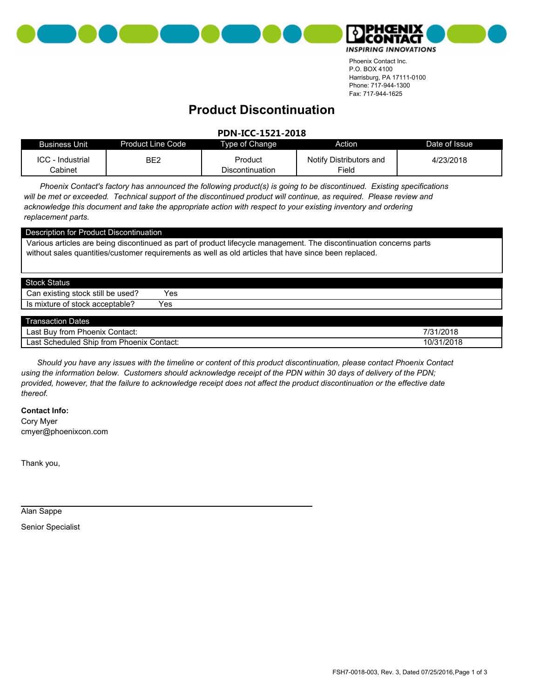



Phoenix Contact Inc. P.O. BOX 4100 Harrisburg, PA 17111-0100 Phone: 717-944-1300 Fax: 717-944-1625

## **Product Discontinuation**

## **PDN-ICC-1521-2018**

| Business Unit                      | Product Line Code | Type of Change             | Action                           | Date of Issue |
|------------------------------------|-------------------|----------------------------|----------------------------------|---------------|
| <b>ICC</b> - Industrial<br>Cabinet | BE <sub>2</sub>   | Product<br>Discontinuation | Notify Distributors and<br>Field | 4/23/2018     |

*Phoenix Contact's factory has announced the following product(s) is going to be discontinued. Existing specifications will be met or exceeded. Technical support of the discontinued product will continue, as required. Please review and acknowledge this document and take the appropriate action with respect to your existing inventory and ordering replacement parts.*

| Description for Product Discontinuation                                                                                                                                                                                      |     |  |  |  |
|------------------------------------------------------------------------------------------------------------------------------------------------------------------------------------------------------------------------------|-----|--|--|--|
| Various articles are being discontinued as part of product lifecycle management. The discontinuation concerns parts<br>without sales quantities/customer requirements as well as old articles that have since been replaced. |     |  |  |  |
| Stock Status                                                                                                                                                                                                                 |     |  |  |  |
| Can existing stock still be used?                                                                                                                                                                                            | Yes |  |  |  |
| Is mixture of stock acceptable?                                                                                                                                                                                              | Yes |  |  |  |
|                                                                                                                                                                                                                              |     |  |  |  |

| --<br>Dates<br>l ransaction I                         |            |
|-------------------------------------------------------|------------|
| Buy from Phoenix<br>-<br>Last<br>Contact:             | 7/31/2018  |
| Ship<br>Scheduled<br>from Phoenix<br>Last<br>Contact: | 10/31/2018 |

*Should you have any issues with the timeline or content of this product discontinuation, please contact Phoenix Contact using the information below. Customers should acknowledge receipt of the PDN within 30 days of delivery of the PDN; provided, however, that the failure to acknowledge receipt does not affect the product discontinuation or the effective date thereof.*

**Contact Info:**

cmyer@phoenixcon.com Cory Myer

Thank you,

Alan Sappe

Senior Specialist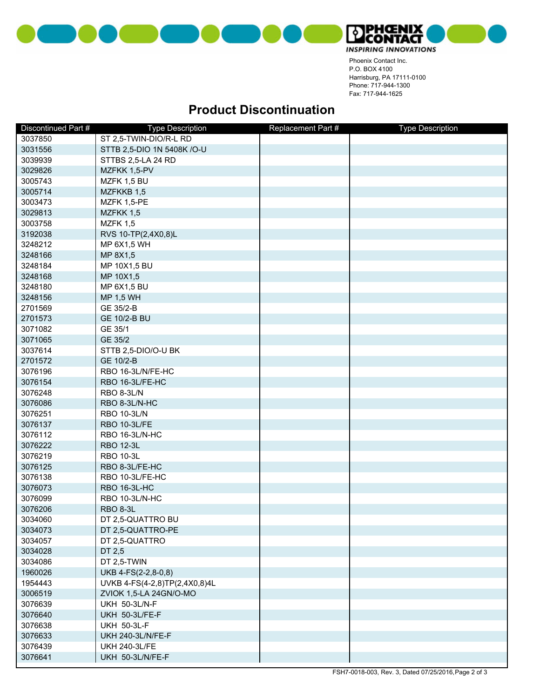



Phoenix Contact Inc. P.O. BOX 4100 Harrisburg, PA 17111-0100 Phone: 717-944-1300 Fax: 717-944-1625

## **Product Discontinuation**

| Discontinued Part # | <b>Type Description</b>       | Replacement Part # | <b>Type Description</b> |
|---------------------|-------------------------------|--------------------|-------------------------|
| 3037850             | ST 2,5-TWIN-DIO/R-L RD        |                    |                         |
| 3031556             | STTB 2,5-DIO 1N 5408K /O-U    |                    |                         |
| 3039939             | STTBS 2,5-LA 24 RD            |                    |                         |
| 3029826             | MZFKK 1,5-PV                  |                    |                         |
| 3005743             | MZFK 1,5 BU                   |                    |                         |
| 3005714             | MZFKKB 1,5                    |                    |                         |
| 3003473             | MZFK 1,5-PE                   |                    |                         |
| 3029813             | MZFKK 1,5                     |                    |                         |
| 3003758             | <b>MZFK 1,5</b>               |                    |                         |
| 3192038             | RVS 10-TP(2,4X0,8)L           |                    |                         |
| 3248212             | MP 6X1,5 WH                   |                    |                         |
| 3248166             | MP 8X1,5                      |                    |                         |
| 3248184             | MP 10X1,5 BU                  |                    |                         |
| 3248168             | MP 10X1,5                     |                    |                         |
| 3248180             | MP 6X1,5 BU                   |                    |                         |
| 3248156             | <b>MP 1,5 WH</b>              |                    |                         |
| 2701569             | GE 35/2-B                     |                    |                         |
| 2701573             | <b>GE 10/2-B BU</b>           |                    |                         |
| 3071082             | GE 35/1                       |                    |                         |
| 3071065             | GE 35/2                       |                    |                         |
| 3037614             | STTB 2,5-DIO/O-U BK           |                    |                         |
| 2701572             | GE 10/2-B                     |                    |                         |
| 3076196             | RBO 16-3L/N/FE-HC             |                    |                         |
| 3076154             | RBO 16-3L/FE-HC               |                    |                         |
| 3076248             | RBO 8-3L/N                    |                    |                         |
| 3076086             | RBO 8-3L/N-HC                 |                    |                         |
| 3076251             | <b>RBO 10-3L/N</b>            |                    |                         |
| 3076137             | <b>RBO 10-3L/FE</b>           |                    |                         |
| 3076112             | RBO 16-3L/N-HC                |                    |                         |
| 3076222             | <b>RBO 12-3L</b>              |                    |                         |
| 3076219             | <b>RBO 10-3L</b>              |                    |                         |
| 3076125             | RBO 8-3L/FE-HC                |                    |                         |
| 3076138             | RBO 10-3L/FE-HC               |                    |                         |
| 3076073             | <b>RBO 16-3L-HC</b>           |                    |                         |
| 3076099             | RBO 10-3L/N-HC                |                    |                         |
| 3076206             | <b>RBO 8-3L</b>               |                    |                         |
| 3034060             | DT 2,5-QUATTRO BU             |                    |                         |
| 3034073             | DT 2,5-QUATTRO-PE             |                    |                         |
| 3034057             | DT 2,5-QUATTRO                |                    |                         |
| 3034028             | DT 2,5                        |                    |                         |
| 3034086             | DT 2,5-TWIN                   |                    |                         |
| 1960026             | UKB 4-FS(2-2,8-0,8)           |                    |                         |
| 1954443             | UVKB 4-FS(4-2,8)TP(2,4X0,8)4L |                    |                         |
| 3006519             | ZVIOK 1,5-LA 24GN/O-MO        |                    |                         |
| 3076639             | <b>UKH 50-3L/N-F</b>          |                    |                         |
| 3076640             | UKH 50-3L/FE-F                |                    |                         |
| 3076638             | <b>UKH 50-3L-F</b>            |                    |                         |
| 3076633             | <b>UKH 240-3L/N/FE-F</b>      |                    |                         |
| 3076439             | <b>UKH 240-3L/FE</b>          |                    |                         |
| 3076641             | UKH 50-3L/N/FE-F              |                    |                         |
|                     |                               |                    |                         |